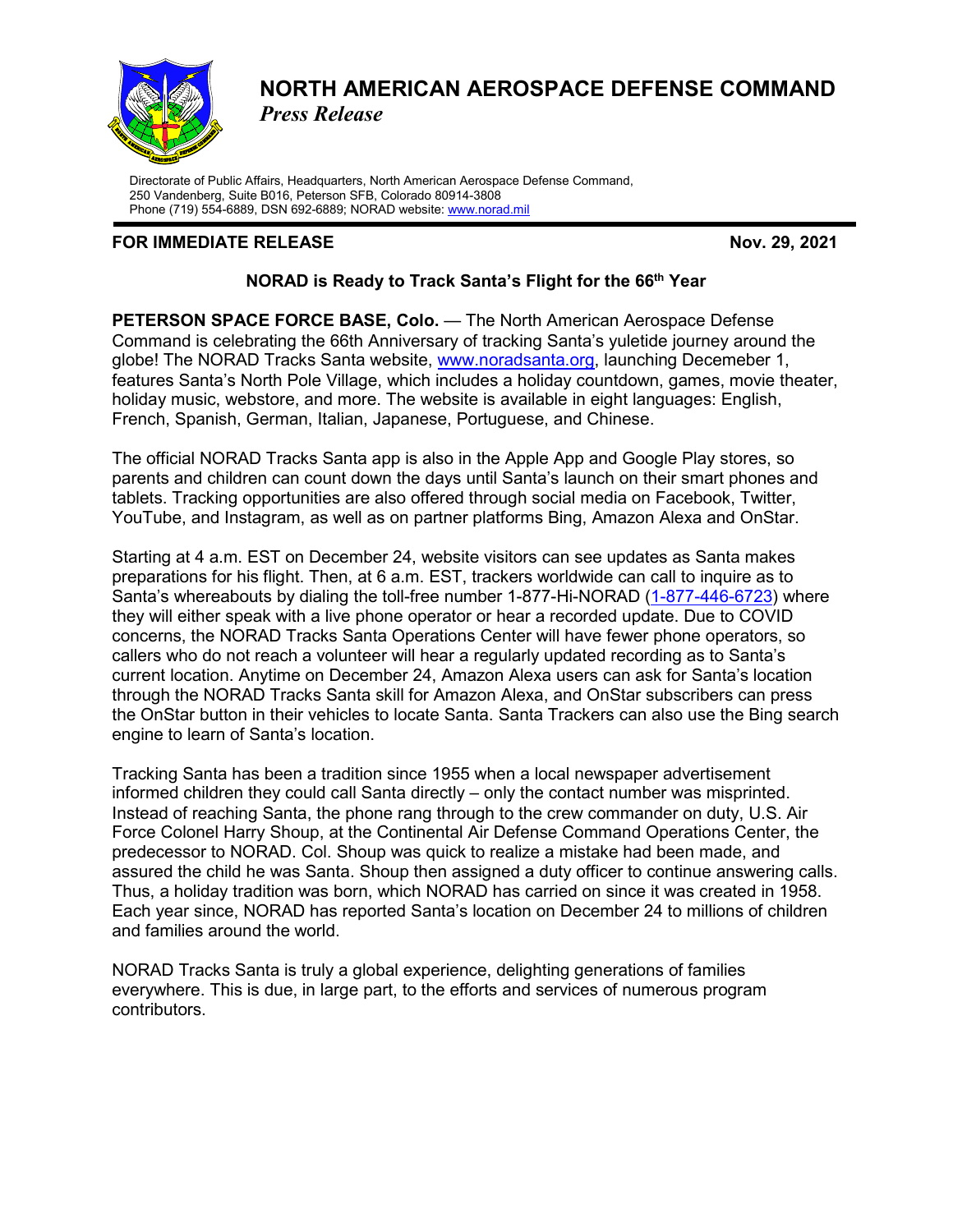

## **NORTH AMERICAN AEROSPACE DEFENSE COMMAND** *Press Release*

Directorate of Public Affairs, Headquarters, North American Aerospace Defense Command, 250 Vandenberg, Suite B016, Peterson SFB, Colorado 80914-3808 Phone (719) 554-6889, DSN 692-6889; NORAD website: [www.norad.mil](http://www.norad.mil/)

## **FOR IMMEDIATE RELEASE Nov. 29, 2021**

## **NORAD is Ready to Track Santa's Flight for the 66th Year**

**PETERSON SPACE FORCE BASE, Colo.** — The North American Aerospace Defense Command is celebrating the 66th Anniversary of tracking Santa's yuletide journey around the globe! The NORAD Tracks Santa website, [www.noradsanta.org,](http://www.noradsanta.org/) launching Decemeber 1, features Santa's North Pole Village, which includes a holiday countdown, games, movie theater, holiday music, webstore, and more. The website is available in eight languages: English, French, Spanish, German, Italian, Japanese, Portuguese, and Chinese.

The official NORAD Tracks Santa app is also in the Apple App and Google Play stores, so parents and children can count down the days until Santa's launch on their smart phones and tablets. Tracking opportunities are also offered through social media on Facebook, Twitter, YouTube, and Instagram, as well as on partner platforms Bing, Amazon Alexa and OnStar.

Starting at 4 a.m. EST on December 24, website visitors can see updates as Santa makes preparations for his flight. Then, at 6 a.m. EST, trackers worldwide can call to inquire as to Santa's whereabouts by dialing the toll-free number 1-877-Hi-NORAD [\(1-877-446-6723\)](tel:1-877-446-6723) where they will either speak with a live phone operator or hear a recorded update. Due to COVID concerns, the NORAD Tracks Santa Operations Center will have fewer phone operators, so callers who do not reach a volunteer will hear a regularly updated recording as to Santa's current location. Anytime on December 24, Amazon Alexa users can ask for Santa's location through the NORAD Tracks Santa skill for Amazon Alexa, and OnStar subscribers can press the OnStar button in their vehicles to locate Santa. Santa Trackers can also use the Bing search engine to learn of Santa's location.

Tracking Santa has been a tradition since 1955 when a local newspaper advertisement informed children they could call Santa directly – only the contact number was misprinted. Instead of reaching Santa, the phone rang through to the crew commander on duty, U.S. Air Force Colonel Harry Shoup, at the Continental Air Defense Command Operations Center, the predecessor to NORAD. Col. Shoup was quick to realize a mistake had been made, and assured the child he was Santa. Shoup then assigned a duty officer to continue answering calls. Thus, a holiday tradition was born, which NORAD has carried on since it was created in 1958. Each year since, NORAD has reported Santa's location on December 24 to millions of children and families around the world.

NORAD Tracks Santa is truly a global experience, delighting generations of families everywhere. This is due, in large part, to the efforts and services of numerous program contributors.